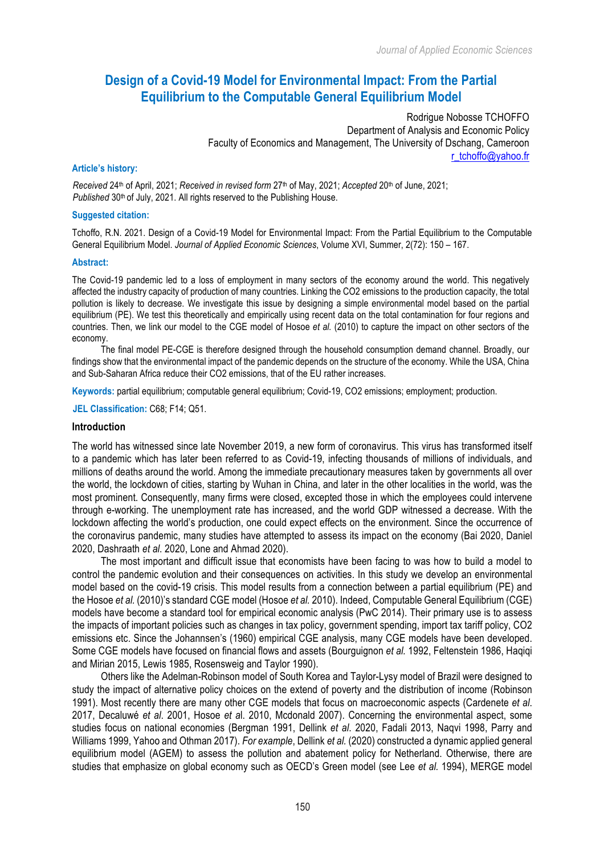# **Design of a Covid-19 Model for Environmental Impact: From the Partial Equilibrium to the Computable General Equilibrium Model**

Rodrigue Nobosse TCHOFFO Department of Analysis and Economic Policy Faculty of Economics and Management, The University of Dschang, Cameroon r\_tchoffo@yahoo.fr

#### **Article's history:**

*Received* 24th of April, 2021; *Received in revised form* 27th of May, 2021; *Accepted* 20th of June, 2021; Published 30<sup>th</sup> of July, 2021. All rights reserved to the Publishing House.

#### **Suggested citation:**

Tchoffo, R.N. 2021. Design of a Covid-19 Model for Environmental Impact: From the Partial Equilibrium to the Computable General Equilibrium Model. *Journal of Applied Economic Sciences*, Volume XVI, Summer, 2(72): 150 – 167.

#### **Abstract:**

The Covid-19 pandemic led to a loss of employment in many sectors of the economy around the world. This negatively affected the industry capacity of production of many countries. Linking the CO2 emissions to the production capacity, the total pollution is likely to decrease. We investigate this issue by designing a simple environmental model based on the partial equilibrium (PE). We test this theoretically and empirically using recent data on the total contamination for four regions and countries. Then, we link our model to the CGE model of Hosoe *et al.* (2010) to capture the impact on other sectors of the economy.

The final model PE-CGE is therefore designed through the household consumption demand channel. Broadly, our findings show that the environmental impact of the pandemic depends on the structure of the economy. While the USA, China and Sub-Saharan Africa reduce their CO2 emissions, that of the EU rather increases.

**Keywords:** partial equilibrium; computable general equilibrium; Covid-19, CO2 emissions; employment; production.

**JEL Classification:** C68; F14; Q51.

#### **Introduction**

The world has witnessed since late November 2019, a new form of coronavirus. This virus has transformed itself to a pandemic which has later been referred to as Covid-19, infecting thousands of millions of individuals, and millions of deaths around the world. Among the immediate precautionary measures taken by governments all over the world, the lockdown of cities, starting by Wuhan in China, and later in the other localities in the world, was the most prominent. Consequently, many firms were closed, excepted those in which the employees could intervene through e-working. The unemployment rate has increased, and the world GDP witnessed a decrease. With the lockdown affecting the world's production, one could expect effects on the environment. Since the occurrence of the coronavirus pandemic, many studies have attempted to assess its impact on the economy (Bai 2020, Daniel 2020, Dashraath *et al*. 2020, Lone and Ahmad 2020).

The most important and difficult issue that economists have been facing to was how to build a model to control the pandemic evolution and their consequences on activities. In this study we develop an environmental model based on the covid-19 crisis. This model results from a connection between a partial equilibrium (PE) and the Hosoe *et al.* (2010)'s standard CGE model (Hosoe *et al.* 2010). Indeed, Computable General Equilibrium (CGE) models have become a standard tool for empirical economic analysis (PwC 2014). Their primary use is to assess the impacts of important policies such as changes in tax policy, government spending, import tax tariff policy, CO2 emissions etc. Since the Johannsen's (1960) empirical CGE analysis, many CGE models have been developed. Some CGE models have focused on financial flows and assets (Bourguignon *et al.* 1992, Feltenstein 1986, Haqiqi and Mirian 2015, Lewis 1985, Rosensweig and Taylor 1990).

Others like the Adelman-Robinson model of South Korea and Taylor-Lysy model of Brazil were designed to study the impact of alternative policy choices on the extend of poverty and the distribution of income (Robinson 1991). Most recently there are many other CGE models that focus on macroeconomic aspects (Cardenete *et al*. 2017, Decaluwé *et al*. 2001, Hosoe *et a*l. 2010, Mcdonald 2007). Concerning the environmental aspect, some studies focus on national economies (Bergman 1991, Dellink *et al*. 2020, Fadali 2013, Naqvi 1998, Parry and Williams 1999, Yahoo and Othman 2017). *For example*, Dellink *et al.* (2020) constructed a dynamic applied general equilibrium model (AGEM) to assess the pollution and abatement policy for Netherland. Otherwise, there are studies that emphasize on global economy such as OECD's Green model (see Lee *et al.* 1994), MERGE model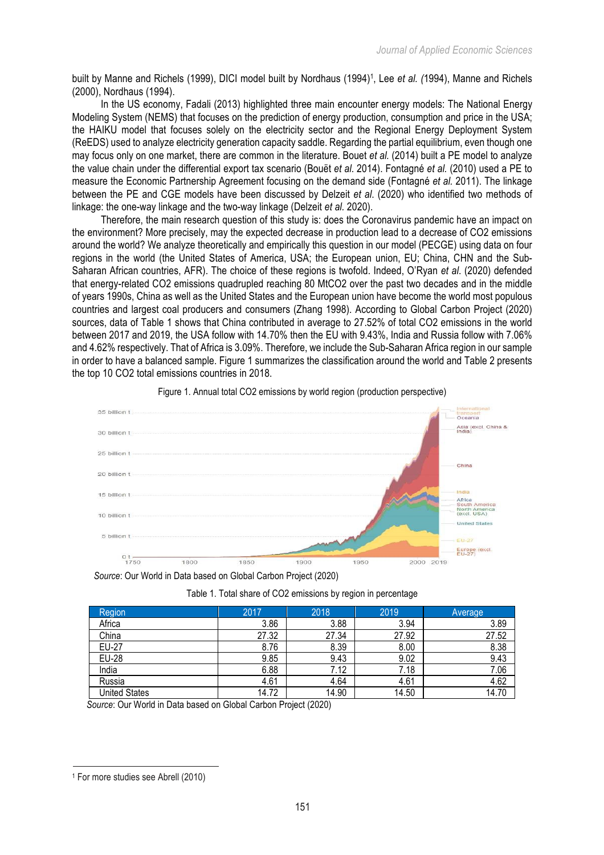built by Manne and Richels (1999), DICI model built by Nordhaus (1994)<sup>1</sup>, Lee *et al. (*1994), Manne and Richels (2000), Nordhaus (1994).

In the US economy, Fadali (2013) highlighted three main encounter energy models: The National Energy Modeling System (NEMS) that focuses on the prediction of energy production, consumption and price in the USA; the HAIKU model that focuses solely on the electricity sector and the Regional Energy Deployment System (ReEDS) used to analyze electricity generation capacity saddle. Regarding the partial equilibrium, even though one may focus only on one market, there are common in the literature. Bouet *et al.* (2014) built a PE model to analyze the value chain under the differential export tax scenario (Bouët *et al*. 2014). Fontagné *et al.* (2010) used a PE to measure the Economic Partnership Agreement focusing on the demand side (Fontagné *et al.* 2011). The linkage between the PE and CGE models have been discussed by Delzeit *et al*. (2020) who identified two methods of linkage: the one-way linkage and the two-way linkage (Delzeit *et al.* 2020).

Therefore, the main research question of this study is: does the Coronavirus pandemic have an impact on the environment? More precisely, may the expected decrease in production lead to a decrease of CO2 emissions around the world? We analyze theoretically and empirically this question in our model (PECGE) using data on four regions in the world (the United States of America, USA; the European union, EU; China, CHN and the Sub-Saharan African countries, AFR). The choice of these regions is twofold. Indeed, O'Ryan *et al*. (2020) defended that energy-related CO2 emissions quadrupled reaching 80 MtCO2 over the past two decades and in the middle of years 1990s, China as well as the United States and the European union have become the world most populous countries and largest coal producers and consumers (Zhang 1998). According to Global Carbon Project (2020) sources, data of Table 1 shows that China contributed in average to 27.52% of total CO2 emissions in the world between 2017 and 2019, the USA follow with 14.70% then the EU with 9.43%, India and Russia follow with 7.06% and 4.62% respectively. That of Africa is 3.09%. Therefore, we include the Sub-Saharan Africa region in our sample in order to have a balanced sample. Figure 1 summarizes the classification around the world and Table 2 presents the top 10 CO2 total emissions countries in 2018.



### Figure 1. Annual total CO2 emissions by world region (production perspective)

*Source*: Our World in Data based on Global Carbon Project (2020)

|  | Table 1. Total share of CO2 emissions by region in percentage |  |  |
|--|---------------------------------------------------------------|--|--|
|  |                                                               |  |  |

| Region               | 2017  | 2018  | 2019  | <b>Average</b> |
|----------------------|-------|-------|-------|----------------|
| Africa               | 3.86  | 3.88  | 3.94  | 3.89           |
| China                | 27.32 | 27.34 | 27.92 | 27.52          |
| <b>EU-27</b>         | 8.76  | 8.39  | 8.00  | 8.38           |
| <b>EU-28</b>         | 9.85  | 9.43  | 9.02  | 9.43           |
| India                | 6.88  | 7.12  | 7.18  | 7.06           |
| Russia               | 4.61  | 4.64  | 4.61  | 4.62           |
| <b>United States</b> | 14.72 | 14.90 | 14.50 | 14.70          |

*Source*: Our World in Data based on Global Carbon Project (2020)

 <sup>1</sup> For more studies see Abrell (2010)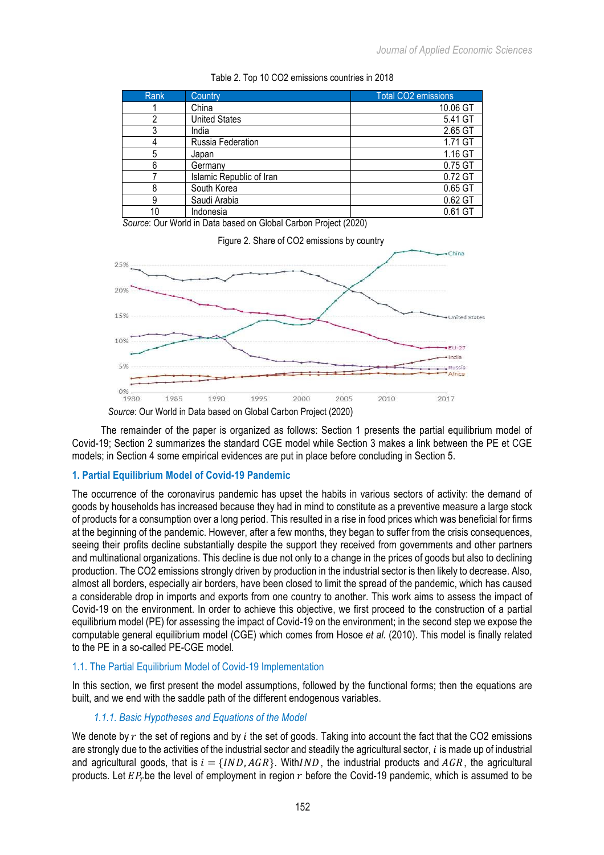| Rank | Country                  | <b>Total CO2 emissions</b> |
|------|--------------------------|----------------------------|
|      | China                    | 10.06 GT                   |
| ∩    | <b>United States</b>     | 5.41 GT                    |
| 3    | India                    | 2.65 GT                    |
|      | Russia Federation        | 1.71 GT                    |
| 5    | Japan                    | 1.16 GT                    |
| 6    | Germanv                  | 0.75 GT                    |
|      | Islamic Republic of Iran | 0.72 GT                    |
| 8    | South Korea              | 0.65 GT                    |
| 9    | Saudi Arabia             | 0.62 GT                    |
| 10   | Indonesia                | 0.61 GT                    |

#### Table 2. Top 10 CO2 emissions countries in 2018

*Source*: Our World in Data based on Global Carbon Project (2020)



*Source*: Our World in Data based on Global Carbon Project (2020)

The remainder of the paper is organized as follows: Section 1 presents the partial equilibrium model of Covid-19; Section 2 summarizes the standard CGE model while Section 3 makes a link between the PE et CGE models; in Section 4 some empirical evidences are put in place before concluding in Section 5.

## **1. Partial Equilibrium Model of Covid-19 Pandemic**

The occurrence of the coronavirus pandemic has upset the habits in various sectors of activity: the demand of goods by households has increased because they had in mind to constitute as a preventive measure a large stock of products for a consumption over a long period. This resulted in a rise in food prices which was beneficial for firms at the beginning of the pandemic. However, after a few months, they began to suffer from the crisis consequences, seeing their profits decline substantially despite the support they received from governments and other partners and multinational organizations. This decline is due not only to a change in the prices of goods but also to declining production. The CO2 emissions strongly driven by production in the industrial sector is then likely to decrease. Also, almost all borders, especially air borders, have been closed to limit the spread of the pandemic, which has caused a considerable drop in imports and exports from one country to another. This work aims to assess the impact of Covid-19 on the environment. In order to achieve this objective, we first proceed to the construction of a partial equilibrium model (PE) for assessing the impact of Covid-19 on the environment; in the second step we expose the computable general equilibrium model (CGE) which comes from Hosoe *et al.* (2010). This model is finally related to the PE in a so-called PE-CGE model.

### 1.1. The Partial Equilibrium Model of Covid-19 Implementation

In this section, we first present the model assumptions, followed by the functional forms; then the equations are built, and we end with the saddle path of the different endogenous variables.

# *1.1.1. Basic Hypotheses and Equations of the Model*

We denote by  $r$  the set of regions and by  $i$  the set of goods. Taking into account the fact that the CO2 emissions are strongly due to the activities of the industrial sector and steadily the agricultural sector,  $i$  is made up of industrial and agricultural goods, that is  $i = \{IND, AGR\}$ . With  $IND$ , the industrial products and  $AGR$ , the agricultural products. Let  $EP<sub>r</sub>$  be the level of employment in region  $r$  before the Covid-19 pandemic, which is assumed to be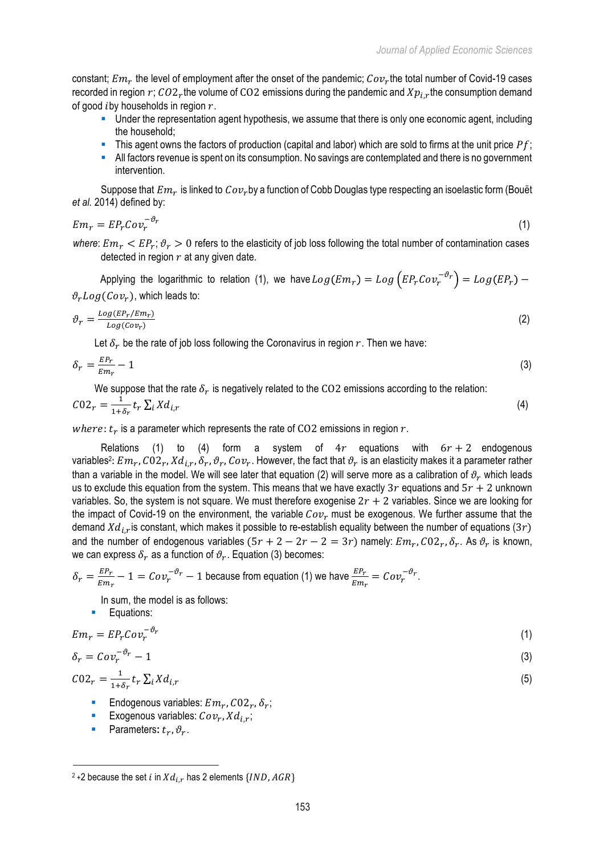constant;  $Em<sub>r</sub>$  the level of employment after the onset of the pandemic;  $Cov<sub>r</sub>$ the total number of Covid-19 cases recorded in region  $r$ ;  $CO2_r$ the volume of CO2 emissions during the pandemic and  $Xp_{i,r}$ the consumption demand of good  $i$  by households in region  $r$ .

- § Under the representation agent hypothesis, we assume that there is only one economic agent, including the household;
- This agent owns the factors of production (capital and labor) which are sold to firms at the unit price  $Pf$ ;
- All factors revenue is spent on its consumption. No savings are contemplated and there is no government intervention.

Suppose that  $Em_r$  is linked to  $Cov_r$  by a function of Cobb Douglas type respecting an isoelastic form (Bouët *et al.* 2014) defined by:

$$
Em_r = EP_r Cov_r^{-\vartheta_r}
$$
 (1)

*where:*  $Em_r < EP_r$ ;  $\vartheta_r > 0$  refers to the elasticity of job loss following the total number of contamination cases detected in region  $r$  at any given date.

Applying the logarithmic to relation (1), we have  $Log(Em_r) = Log\left( EP_rCov_r^{-\vartheta_r}\right) = Log(EP_r)$  - $\vartheta_r Log(Cov_r)$ , which leads to:

$$
\vartheta_r = \frac{\log (E P_r / E m_r)}{\log (C \omega_r)}\tag{2}
$$

Let  $\delta_r$  be the rate of job loss following the Coronavirus in region r. Then we have:

$$
\delta_r = \frac{E P_r}{E m_r} - 1\tag{3}
$$

We suppose that the rate  $\delta_r$  is negatively related to the CO2 emissions according to the relation:

$$
C02_r = \frac{1}{1+\delta_r} t_r \sum_i X d_{i,r} \tag{4}
$$

where:  $t_r$  is a parameter which represents the rate of CO2 emissions in region  $r$ .

Relations (1) to (4) form a system of  $4r$  equations with  $6r + 2$  endogenous variables<sup>2</sup>:  $Em_r$ ,  $CO2_r$ ,  $Xd_{ir}$ ,  $\delta_r$ ,  $\vartheta_r$ ,  $Co\nu_r$ . However, the fact that  $\vartheta_r$  is an elasticity makes it a parameter rather than a variable in the model. We will see later that equation (2) will serve more as a calibration of  $\vartheta_r$  which leads us to exclude this equation from the system. This means that we have exactly 3r equations and  $5r + 2$  unknown variables. So, the system is not square. We must therefore exogenise  $2r + 2$  variables. Since we are looking for the impact of Covid-19 on the environment, the variable  $Cov_r$  must be exogenous. We further assume that the demand  $Xd_{i,r}$  is constant, which makes it possible to re-establish equality between the number of equations (3r) and the number of endogenous variables  $(5r + 2 - 2r - 2 = 3r)$  namely:  $Em_r$ ,  $CO2_r$ ,  $\delta_r$ . As  $\vartheta_r$  is known, we can express  $\delta_r$  as a function of  $\vartheta_r$ . Equation (3) becomes:

$$
\delta_r = \frac{E P_r}{E m_r} - 1 = Cov_r^{-\vartheta_r} - 1
$$
 because from equation (1) we have  $\frac{E P_r}{E m_r} = Cov_r^{-\vartheta_r}$ .

In sum, the model is as follows:

■ Equations:

$$
Em_r = EP_r Cov_r^{-\vartheta_r}
$$
 (1)

$$
\delta_r = Cov_r^{-\vartheta_r} - 1 \tag{3}
$$

$$
C02_r = \frac{1}{1+\delta_r} t_r \sum_i X d_{i,r} \tag{5}
$$

- Endogenous variables:  $Em<sub>r</sub>$ ,  $CO2<sub>r</sub>$ ,  $\delta<sub>r</sub>$ ;
- Exogenous variables:  $Cov_r$ ,  $Xd_i$ ;
- **•** Parameters:  $t_r$ ,  $\vartheta_r$ .

<sup>&</sup>lt;sup>2</sup> + 2 because the set i in  $Xd_{i,r}$  has 2 elements {*IND, AGR*}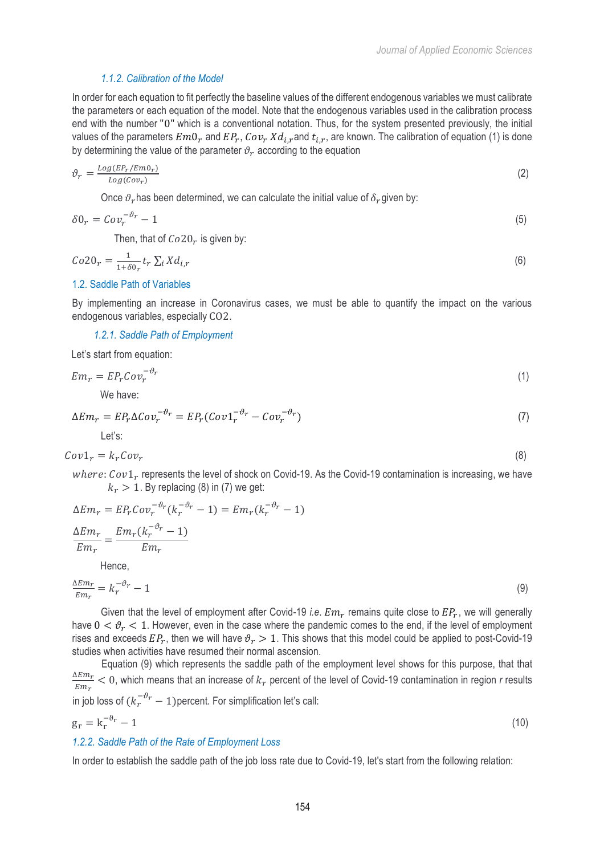# *1.1.2. Calibration of the Model*

In order for each equation to fit perfectly the baseline values of the different endogenous variables we must calibrate the parameters or each equation of the model. Note that the endogenous variables used in the calibration process end with the number "0" which is a conventional notation. Thus, for the system presented previously, the initial values of the parameters  $Em0_r$  and  $EP_r$ ,  $Cov_r Xd_{i,r}$  and  $t_{i,r}$ , are known. The calibration of equation (1) is done by determining the value of the parameter  $\vartheta_r$  according to the equation

$$
\vartheta_r = \frac{\log (E P_r / E m 0_r)}{\log (C \circ v_r)}\tag{2}
$$

Once  $\vartheta_r$  has been determined, we can calculate the initial value of  $\delta_r$  given by:

$$
\delta 0_r = Cov_r^{-\vartheta_r} - 1 \tag{5}
$$

Then, that of  $Co20<sub>r</sub>$  is given by:

$$
Co20_r = \frac{1}{1+\delta 0_r} t_r \sum_i X d_{i,r} \tag{6}
$$

# 1.2. Saddle Path of Variables

By implementing an increase in Coronavirus cases, we must be able to quantify the impact on the various endogenous variables, especially CO2.

*1.2.1. Saddle Path of Employment* 

Let's start from equation:

$$
Em_r = EP_r Cov_r^{-\vartheta_r}
$$
 (1)

We have:

$$
\Delta Em_r = EP_r \Delta Cov_r^{-\vartheta_r} = EP_r (Cov_1^{-\vartheta_r} - Cov_r^{-\vartheta_r})
$$
\n[7]

$$
Cov1_r = k_r Cov_r \tag{8}
$$

where:  $Cov1_r$  represents the level of shock on Covid-19. As the Covid-19 contamination is increasing, we have  $k_r > 1$ . By replacing (8) in (7) we get:

$$
\Delta Em_r = EP_r Cov_r^{-\vartheta_r}(k_r^{-\vartheta_r} - 1) = Em_r(k_r^{-\vartheta_r} - 1)
$$
  
\n
$$
\frac{\Delta Em_r}{Em_r} = \frac{Em_r(k_r^{-\vartheta_r} - 1)}{Em_r}
$$
  
\nHence,  
\n
$$
\frac{\Delta Em_r}{\Delta m_r} = k_r^{-\vartheta_r} - 1
$$
\n(9)

 $Em_r$  $= k_r^-$ 

Given that the level of employment after Covid-19 *i.e.*  $Em_r$  remains quite close to  $EP_r$ , we will generally have  $0 < \vartheta_r < 1$ . However, even in the case where the pandemic comes to the end, if the level of employment rises and exceeds  $EP_r$ , then we will have  $\vartheta_r > 1$ . This shows that this model could be applied to post-Covid-19 studies when activities have resumed their normal ascension.

Equation (9) which represents the saddle path of the employment level shows for this purpose, that that  $\Delta Em_r$  $\frac{E E m_r}{E m_r}$  < 0, which means that an increase of  $k_r$  percent of the level of Covid-19 contamination in region *r* results in job loss of  $(k_r^{-\vartheta_r} - 1)$ percent. For simplification let's call:

$$
g_r = k_r^{-\vartheta_r} - 1\tag{10}
$$

# *1.2.2. Saddle Path of the Rate of Employment Loss*

In order to establish the saddle path of the job loss rate due to Covid-19, let's start from the following relation: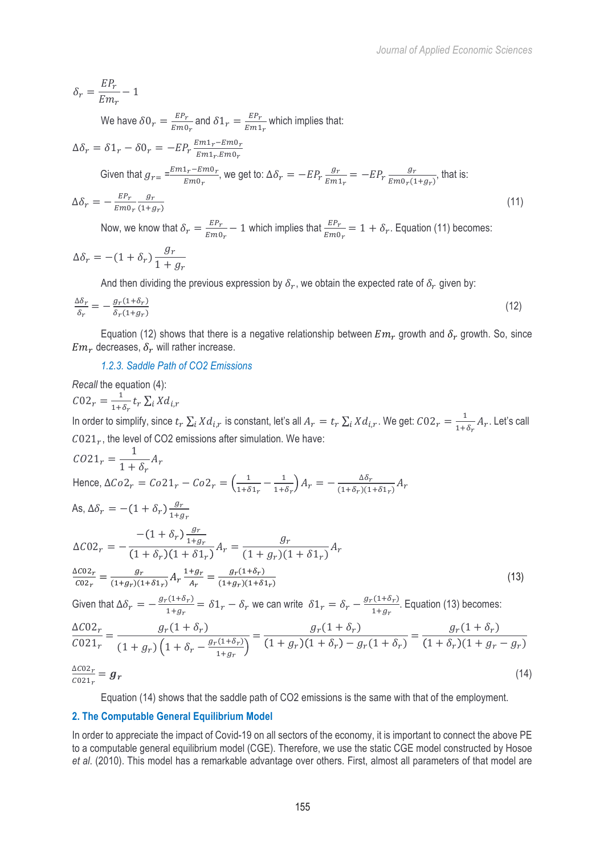$$
\delta_r = \frac{E P_r}{E m_r} - 1
$$

We have  $\delta 0_r = \frac{E P_r}{E m 0_r}$  and  $\delta 1_r = \frac{E P_r}{E m 1_r}$  which implies that:

$$
\Delta \delta_r = \delta 1_r - \delta 0_r = -E P_r \frac{E m 1_r - E m 0_r}{E m 1_r E m 0_r}
$$
  
Given that  $g_{r=} = \frac{E m 1_r - E m 0_r}{E m 0}$ , we get to:  $\Delta \delta_r = -E P_r \frac{g_r}{E m 1} = -E P_r \frac{g_r}{E m 0} \frac{g_r}{(1 + g_r)}$ , that is:

$$
\Delta \delta_r = -\frac{E P_r}{E m_0 r} \frac{g_r}{(1 + g_r)}
$$
(11)

Now, we know that  $\delta_r = \frac{EP_r}{Em0_r} - 1$  which implies that  $\frac{EP_r}{Em0_r} = 1 + \delta_r$ . Equation (11) becomes:

$$
\Delta \delta_r = -(1 + \delta_r) \frac{g_r}{1 + g_r}
$$

And then dividing the previous expression by  $\delta_r$ , we obtain the expected rate of  $\delta_r$  given by:

$$
\frac{\Delta \delta_r}{\delta_r} = -\frac{g_r(1+\delta_r)}{\delta_r(1+g_r)}\tag{12}
$$

Equation (12) shows that there is a negative relationship between  $Em_r$  growth and  $\delta_r$  growth. So, since  $Em<sub>r</sub>$  decreases,  $\delta<sub>r</sub>$  will rather increase.

*1.2.3. Saddle Path of CO2 Emissions*

*Recall* the equation (4):  $C02_r = \frac{1}{1+\delta_r} t_r \sum_i X d_{i,r}$ In order to simplify, since  $t_r\sum_i Xd_{i,r}$  is constant, let's all  $A_r = t_r\sum_i Xd_{i,r}$ . We get:  $C02_r = \frac{1}{1+\delta_r}A_r$ . Let's call  $C021<sub>r</sub>$ , the level of CO2 emissions after simulation. We have:  $CO21_r = \frac{1}{1 + \delta_r} A_r$ Hence,  $\Delta Co2_r = Co21_r - Co2_r = \left(\frac{1}{1+\delta_1r} - \frac{1}{1+\delta_r}\right)A_r = -\frac{\Delta \delta_r}{(1+\delta_r)(1+\delta 1_r)}A_r$ As,  $\Delta \delta_r = -(1 + \delta_r) \frac{g_r}{1 + \epsilon}$  $1+g_r$  $\Delta C$ 02 $_r$  =  $-(1+\delta_r)\frac{g_r}{1+\epsilon}$  $1+g_r$  $\frac{-(1+o_r)\frac{1}{1+g_r}}{1+\delta_r(1+\delta1_r)}A_r = \frac{g_r}{(1+g_r)(1+\delta1_r)}A_r$  $\Delta$ CO2 $_r$  $\frac{\Delta CO2_r}{CO2_r} = \frac{g_r}{(1+g_r)(1+\delta 1_r)} A_r \frac{1+g_r}{A_r}$  $\frac{+g_r}{A_r} = \frac{g_r(1+\delta_r)}{(1+g_r)(1+\delta1_r)}$  $(13)$ Given that  $\Delta \delta_r = -\frac{g_r(1+\delta_r)}{1+g_r} = \delta 1_r - \delta_r$  we can write  $\delta 1_r = \delta_r - \frac{g_r(1+\delta_r)}{1+g_r}$ . Equation (13) becomes:  $\triangle$ CO<sub>2</sub>  $a(1 + \delta)$ 

$$
\frac{\Delta CO2_r}{CO21_r} = \frac{g_r(1+\delta_r)}{(1+g_r)\left(1+\delta_r - \frac{g_r(1+\delta_r)}{1+g_r}\right)} = \frac{g_r(1+\delta_r)}{(1+g_r)(1+\delta_r) - g_r(1+\delta_r)} = \frac{g_r(1+\delta_r)}{(1+\delta_r)(1+g_r-g_r)}
$$
\n
$$
\frac{\Delta CO2_r}{CO21_r} = g_r
$$
\n(14)

Equation (14) shows that the saddle path of CO2 emissions is the same with that of the employment.

## **2. The Computable General Equilibrium Model**

In order to appreciate the impact of Covid-19 on all sectors of the economy, it is important to connect the above PE to a computable general equilibrium model (CGE). Therefore, we use the static CGE model constructed by Hosoe *et al*. (2010). This model has a remarkable advantage over others. First, almost all parameters of that model are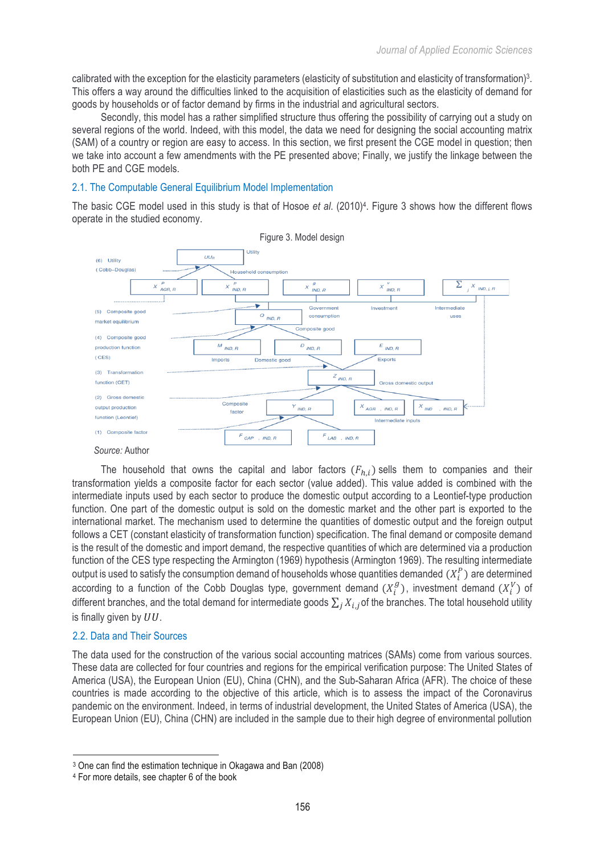calibrated with the exception for the elasticity parameters (elasticity of substitution and elasticity of transformation) 3. This offers a way around the difficulties linked to the acquisition of elasticities such as the elasticity of demand for goods by households or of factor demand by firms in the industrial and agricultural sectors.

Secondly, this model has a rather simplified structure thus offering the possibility of carrying out a study on several regions of the world. Indeed, with this model, the data we need for designing the social accounting matrix (SAM) of a country or region are easy to access. In this section, we first present the CGE model in question; then we take into account a few amendments with the PE presented above; Finally, we justify the linkage between the both PE and CGE models.

# 2.1. The Computable General Equilibrium Model Implementation

The basic CGE model used in this study is that of Hosoe *et al*. (2010)4 . Figure 3 shows how the different flows operate in the studied economy.



The household that owns the capital and labor factors  $(F_{h,i})$  sells them to companies and their transformation yields a composite factor for each sector (value added). This value added is combined with the intermediate inputs used by each sector to produce the domestic output according to a Leontief-type production function. One part of the domestic output is sold on the domestic market and the other part is exported to the international market. The mechanism used to determine the quantities of domestic output and the foreign output follows a CET (constant elasticity of transformation function) specification. The final demand or composite demand is the result of the domestic and import demand, the respective quantities of which are determined via a production function of the CES type respecting the Armington (1969) hypothesis (Armington 1969). The resulting intermediate output is used to satisfy the consumption demand of households whose quantities demanded  $(X^P_i)$  are determined according to a function of the Cobb Douglas type, government demand  $(X_i^g)$ , investment demand  $(X_i^V)$  of different branches, and the total demand for intermediate goods  $\sum_i X_{i,i}$  of the branches. The total household utility is finally given by  $UU$ .

# 2.2. Data and Their Sources

The data used for the construction of the various social accounting matrices (SAMs) come from various sources. These data are collected for four countries and regions for the empirical verification purpose: The United States of America (USA), the European Union (EU), China (CHN), and the Sub-Saharan Africa (AFR). The choice of these countries is made according to the objective of this article, which is to assess the impact of the Coronavirus pandemic on the environment. Indeed, in terms of industrial development, the United States of America (USA), the European Union (EU), China (CHN) are included in the sample due to their high degree of environmental pollution

 <sup>3</sup> One can find the estimation technique in Okagawa and Ban (2008)

<sup>4</sup> For more details, see chapter 6 of the book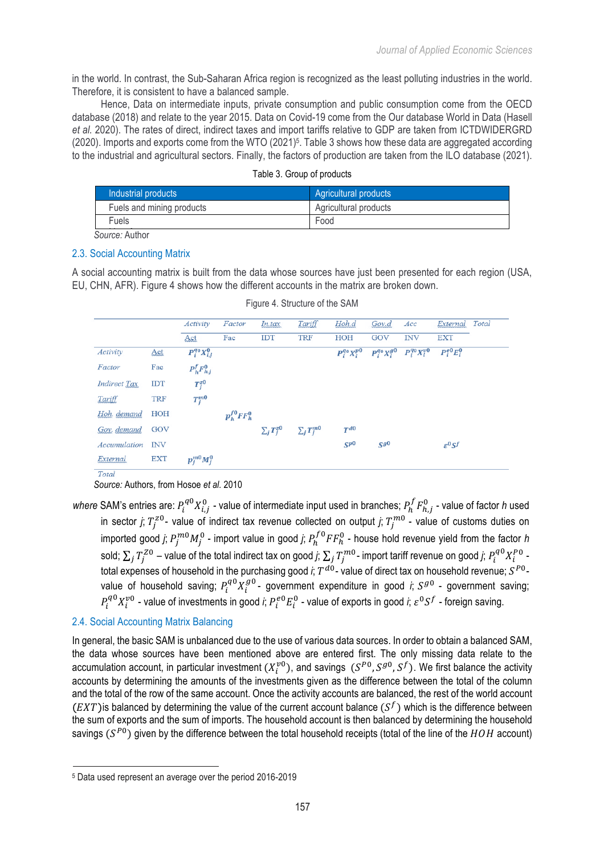in the world. In contrast, the Sub-Saharan Africa region is recognized as the least polluting industries in the world. Therefore, it is consistent to have a balanced sample.

Hence, Data on intermediate inputs, private consumption and public consumption come from the OECD database (2018) and relate to the year 2015. Data on Covid-19 come from the Our database World in Data (Hasell *et al.* 2020). The rates of direct, indirect taxes and import tariffs relative to GDP are taken from ICTDWIDERGRD (2020). Imports and exports come from the WTO (2021)<sup>5</sup>. Table 3 shows how these data are aggregated according to the industrial and agricultural sectors. Finally, the factors of production are taken from the ILO database (2021).

| Industrial products       | Agricultural products |
|---------------------------|-----------------------|
| Fuels and mining products | Agricultural products |
| Fuels                     | Food                  |
| .                         |                       |

|  |  |  | Table 3. Group of products |
|--|--|--|----------------------------|
|--|--|--|----------------------------|

Source: Author

#### Iron and steel 2.3. Social Accounting Matrix

A social accounting matrix is built from the data whose sources have just been presented for each region (USA, EU, CHN, AFR). Figure 4 shows how the different accounts in the matrix are broken down.

|                     |            | Activity             | Factor               | In.tax              | Tariff            | Hoh.d                | Gov.d                | Acc                    | External            | Total |
|---------------------|------------|----------------------|----------------------|---------------------|-------------------|----------------------|----------------------|------------------------|---------------------|-------|
|                     |            | Act                  | Fac                  | IDT                 | <b>TRF</b>        | <b>HOH</b>           | GOV                  | <b>INV</b>             | <b>EXT</b>          |       |
| Activity            | Act        | $P_i^{q_0}X_{i,j}^0$ |                      |                     |                   | $P_i^{q_0}X_i^{p_0}$ | $P_i^{q_0}X_i^{g_0}$ | $P_i^{q_0}X_i^{\nu 0}$ | $P_i^{e0}E_i^0$     |       |
| Factor              | Fac        | $P^f_h F^0_{h,j}$    |                      |                     |                   |                      |                      |                        |                     |       |
| <b>Indirect Tax</b> | IDT        | $T_i^{z0}$           |                      |                     |                   |                      |                      |                        |                     |       |
| <b>Tariff</b>       | <b>TRF</b> | $T_i^{m0}$           |                      |                     |                   |                      |                      |                        |                     |       |
| Hoh. demand         | HOH        |                      | $p_h^{f0}$ FF $_h^0$ |                     |                   |                      |                      |                        |                     |       |
| Gov. demand         | GOV        |                      |                      | $\sum_{j} T_j^{z0}$ | $\sum_j T_j^{m0}$ | $T^{d0}$             |                      |                        |                     |       |
| Accumulation        | <b>INV</b> |                      |                      |                     |                   | $S^{p0}$             | $S^{g0}$             |                        | $\varepsilon^0 S^f$ |       |
| External            | <b>EXT</b> | $p_i^{m0}M_i^0$      |                      |                     |                   |                      |                      |                        |                     |       |

|  | Figure 4. Structure of the SAM |  |  |
|--|--------------------------------|--|--|
|--|--------------------------------|--|--|

*Source:* Authors, from Hosoe *et al.* 2010

where SAM's entries are:  $P_i^{q0}X^0_{i,j}$  - value of intermediate input used in branches;  $P_h^fF^0_{h,j}$  - value of factor *h* used in sector *j*;  $T_j^{z0}$ - value of indirect tax revenue collected on output *j*;  $T_j^{m0}$  - value of customs duties on imported good *j*;  $P_j^{m0}M_j^0$  - import value in good *j*;  $P_h^{f\,0}FF_h^0$  - house hold revenue yield from the factor *h* sold;  $\sum_j T_j^{Z0}$  – value of the total indirect tax on good *j*;  $\sum_j T_j^{m0}$ - import tariff revenue on good *j*;  $P_i^{q0}X_i^{P0}$  total expenses of household in the purchasing good *i*;  $T^{d0}$ - value of direct tax on household revenue;  $S^{P0}$ value of household saving;  $P_i^{q0}X_i^{g0}$ - government expenditure in good *i*;  $S^{g0}$  - government saving;  $P_i^{q0}X_i^{p0}$  - value of investments in good *i*;  $P_i^{e0}E_i^0$  - value of exports in good *i*;  $\varepsilon^0S^f$  - foreign saving.

# 2.4. Social Accounting Matrix Balancing

In general, the basic SAM is unbalanced due to the use of various data sources. In order to obtain a balanced SAM, the data whose sources have been mentioned above are entered first. The only missing data relate to the accumulation account, in particular investment  $(X_l^{v0})$ , and savings  $(S^{P0},S^{g0},S^f)$ . We first balance the activity accounts by determining the amounts of the investments given as the difference between the total of the column and the total of the row of the same account. Once the activity accounts are balanced, the rest of the world account  $(EXT)$  is balanced by determining the value of the current account balance  $(S^f)$  which is the difference between the sum of exports and the sum of imports. The household account is then balanced by determining the household savings  $(S^{P0})$  given by the difference between the total household receipts (total of the line of the  $HOH$  account)

 <sup>5</sup> Data used represent an average over the period 2016-2019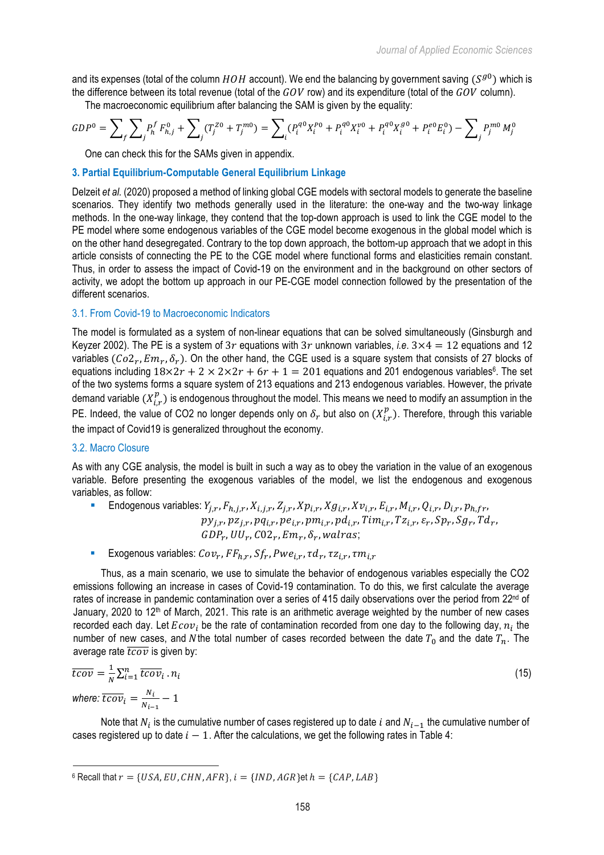and its expenses (total of the column  $HOH$  account). We end the balancing by government saving  $(S^{g0})$  which is the difference between its total revenue (total of the  $GOV$  row) and its expenditure (total of the  $GOV$  column).

The macroeconomic equilibrium after balancing the SAM is given by the equality:

$$
GDP^0 = \sum_{f} \sum_{j} P_h^f F_{h,j}^0 + \sum_{j} (T_j^{Z0} + T_j^{m0}) = \sum_{i} (P_i^{q0} X_i^{P0} + P_i^{q0} X_i^{v0} + P_i^{q0} X_i^{g0} + P_i^{e0} E_i^0) - \sum_{j} P_j^{m0} M_j^0
$$

One can check this for the SAMs given in appendix.

# **3. Partial Equilibrium-Computable General Equilibrium Linkage**

Delzeit *et al.* (2020) proposed a method of linking global CGE models with sectoral models to generate the baseline scenarios. They identify two methods generally used in the literature: the one-way and the two-way linkage methods. In the one-way linkage, they contend that the top-down approach is used to link the CGE model to the PE model where some endogenous variables of the CGE model become exogenous in the global model which is on the other hand desegregated. Contrary to the top down approach, the bottom-up approach that we adopt in this article consists of connecting the PE to the CGE model where functional forms and elasticities remain constant. Thus, in order to assess the impact of Covid-19 on the environment and in the background on other sectors of activity, we adopt the bottom up approach in our PE-CGE model connection followed by the presentation of the different scenarios.

#### 3.1. From Covid-19 to Macroeconomic Indicators

The model is formulated as a system of non-linear equations that can be solved simultaneously (Ginsburgh and Keyzer 2002). The PE is a system of 3r equations with 3r unknown variables, *i.e.*  $3 \times 4 = 12$  equations and 12 variables ( $Co2_r, Em_r, \delta_r$ ). On the other hand, the CGE used is a square system that consists of 27 blocks of equations including  $18\times 2r + 2 \times 2\times 2r + 6r + 1 = 201$  equations and 201 endogenous variables<sup>6</sup>. The set of the two systems forms a square system of 213 equations and 213 endogenous variables. However, the private demand variable  $(X_{i,r}^p)$  is endogenous throughout the model. This means we need to modify an assumption in the PE. Indeed, the value of CO2 no longer depends only on  $\delta_r$  but also on  $(X^p_{i,r})$ . Therefore, through this variable the impact of Covid19 is generalized throughout the economy.

### 3.2. Macro Closure

As with any CGE analysis, the model is built in such a way as to obey the variation in the value of an exogenous variable. Before presenting the exogenous variables of the model, we list the endogenous and exogenous variables, as follow:

- Endogenous variables:  $Y_{i,r}$ ,  $F_{h,i,r}$ ,  $X_{i,i,r}$ ,  $Z_{i,r}$ ,  $Xp_{i,r}$ ,  $Xg_{i,r}$ ,  $Xv_{i,r}$ ,  $E_{i,r}$ ,  $M_{i,r}$ ,  $Q_{i,r}$ ,  $D_{i,r}$ ,  $p_{h,fr}$ ,  $py_{j,r}, pz_{j,r}, pq_{i,r}, pe_{i,r}, pm_{i,r}, pd_{i,r}, Tim_{i,r}, Tz_{i,r}, \varepsilon_r, Sp_r, Sg_r, Td_r,$  $GDP_r, UU_r, CO2_r, Em_r, \delta_r, walras;$
- Exogenous variables:  $Cov_r$ ,  $FF_{h,r}$ ,  $Sf_r$ ,  $Pwe_{i,r}$ ,  $\tau d_r$ ,  $\tau z_{i,r}$ ,  $\tau m_{i,r}$

Thus, as a main scenario, we use to simulate the behavior of endogenous variables especially the CO2 emissions following an increase in cases of Covid-19 contamination. To do this, we first calculate the average rates of increase in pandemic contamination over a series of 415 daily observations over the period from 22<sup>nd</sup> of January, 2020 to 12th of March, 2021. This rate is an arithmetic average weighted by the number of new cases recorded each day. Let  $Ecov_i$  be the rate of contamination recorded from one day to the following day,  $n_i$  the number of new cases, and N the total number of cases recorded between the date  $T_0$  and the date  $T_n$ . The average rate  $\overline{tcov}$  is given by:

$$
\overline{tcov} = \frac{1}{N} \sum_{i=1}^{n} \overline{tcov}_i \cdot n_i
$$
  
where:  $\overline{tcov}_i = \frac{N_i}{N_{i-1}} - 1$  (15)

Note that  $N_i$  is the cumulative number of cases registered up to date i and  $N_{i-1}$  the cumulative number of cases registered up to date  $i - 1$ . After the calculations, we get the following rates in Table 4:

 $6$  Recall that  $r = \{USA, EU, CHN, AFR\}, i = \{IND, AGR\}$ et  $h = \{CAP, LAB\}$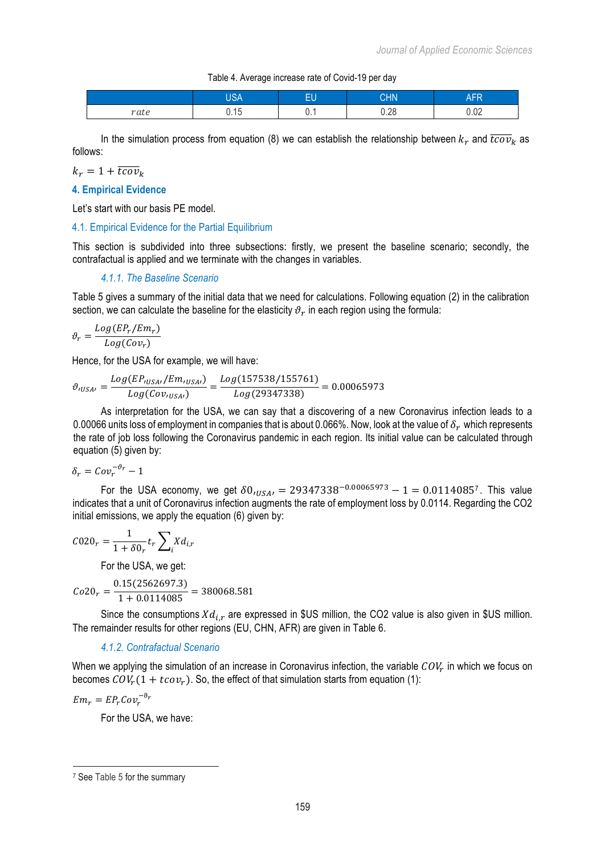#### Table 4. Average increase rate of Covid-19 per day

|      | $\overline{10}$ $\overline{0}$<br>⊣ר | m u<br>-0 | <b>CHN</b>     | .co<br>Λı<br>٩T<br>- 13 |
|------|--------------------------------------|-----------|----------------|-------------------------|
| rate | ∪. ∣∪                                | v.,       | $\cap$<br>J.∠U | ΩO<br>U.UZ              |

In the simulation process from equation (8) we can establish the relationship between  $k<sub>r</sub>$  and  $\overline{tcov}_k$  as follows:

 $k_r = 1 + \overline{tcov}_k$ 

# **4. Empirical Evidence**

Let's start with our basis PE model.

# 4.1. Empirical Evidence for the Partial Equilibrium

This section is subdivided into three subsections: firstly, we present the baseline scenario; secondly, the contrafactual is applied and we terminate with the changes in variables.

# *4.1.1. The Baseline Scenario*

Table 5 gives a summary of the initial data that we need for calculations. Following equation (2) in the calibration section, we can calculate the baseline for the elasticity  $\vartheta_r$  in each region using the formula:

$$
\vartheta_r = \frac{Log(EP_r/Em_r)}{Log(Cov_r)}
$$

Hence, for the USA for example, we will have:

$$
\vartheta_{IUSA'} = \frac{Log(EP_{IUSA'}/Em_{IUSA'})}{Log(Cov_{IUSA'})} = \frac{Log(157538/155761)}{Log(29347338)} = 0.00065973
$$

As interpretation for the USA, we can say that a discovering of a new Coronavirus infection leads to a 0.00066 units loss of employment in companies that is about 0.066%. Now, look at the value of  $\delta_r$  which represents the rate of job loss following the Coronavirus pandemic in each region. Its initial value can be calculated through equation (5) given by:

$$
\delta_r = Cov_r^{-\vartheta_r} - 1
$$

For the USA economy, we get  $\delta 0_{iUSA} = 29347338^{-0.00065973} - 1 = 0.0114085^7$ . This value indicates that a unit of Coronavirus infection augments the rate of employment loss by 0.0114. Regarding the CO2 initial emissions, we apply the equation (6) given by:

$$
\mathcal{C}020_r=\frac{1}{1+\delta0_r}t_r\sum_i\chi d_{i,r}
$$

For the USA, we get:

$$
Co20_r = \frac{0.15(2562697.3)}{1 + 0.0114085} = 380068.581
$$

Since the consumptions  $Xd_{i,r}$  are expressed in \$US million, the CO2 value is also given in \$US million. The remainder results for other regions (EU, CHN, AFR) are given in Table 6.

### *4.1.2. Contrafactual Scenario*

When we applying the simulation of an increase in Coronavirus infection, the variable  $COV<sub>r</sub>$  in which we focus on becomes  $COV_r(1 + tcov_r)$ . So, the effect of that simulation starts from equation (1):

$$
Em_r = EP_r Cov_r^{-\vartheta_r}
$$

For the USA, we have:

 <sup>7</sup> See Table 5 for the summary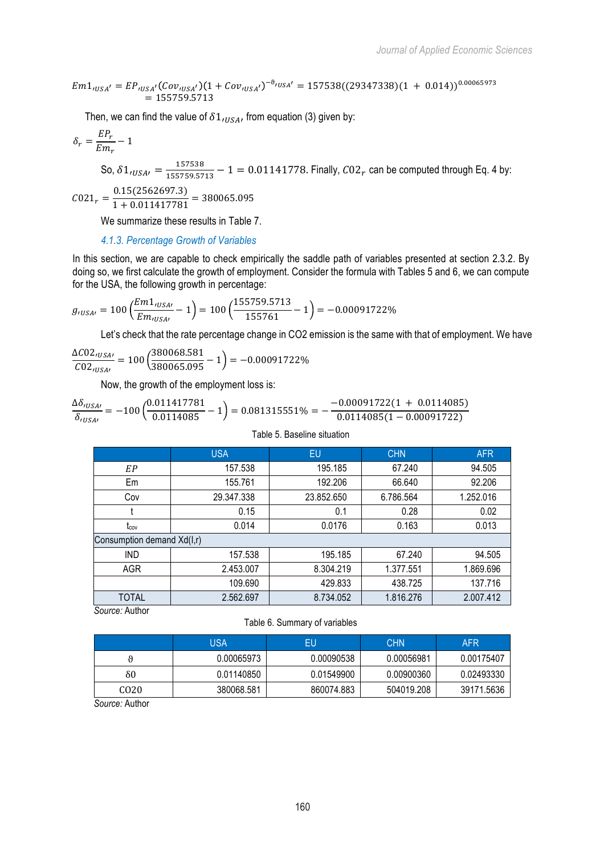$$
Em1_{tUSA'} = EP_{tUSA'}(Cov_{tUSA'}) (1 + Cov_{tUSA'})^{-\vartheta_{tUSA'}} = 157538((29347338)(1 + 0.014))^{0.00065973}
$$
  
= 155759.5713

Then, we can find the value of  $\delta1_{(USA)}$  from equation (3) given by:

$$
\delta_r = \frac{E P_r}{E m_r} - 1
$$

So,  $\delta 1_{iUSA'} = \frac{157538}{155759.5713} - 1 = 0.01141778$ . Finally,  $C02_r$  can be computed through Eq. 4 by:

 $C021_r = \frac{0.15(2562697.3)}{1 + 0.011417781} = 380065.095$ 

We summarize these results in Table 7.

*4.1.3. Percentage Growth of Variables* 

In this section, we are capable to check empirically the saddle path of variables presented at section 2.3.2. By doing so, we first calculate the growth of employment. Consider the formula with Tables 5 and 6, we can compute for the USA, the following growth in percentage:

$$
g_{\prime \textrm{USA}\prime} = 100 \left( \frac{Em1_{\prime \textrm{USA}\prime}}{Em_{\prime \textrm{USA}\prime}} - 1 \right) = 100 \left( \frac{155759.5713}{155761} - 1 \right) = -0.00091722\%
$$

Let's check that the rate percentage change in CO2 emission is the same with that of employment. We have

$$
\frac{\Delta CO2_{tUSA\prime}}{CO2_{tUSA\prime}} = 100 \left( \frac{380068.581}{380065.095} - 1 \right) = -0.00091722\%
$$

Now, the growth of the employment loss is:

$$
\frac{\Delta \delta_{tUSA\prime}}{\delta_{tUSA\prime}} = -100 \left( \frac{0.011417781}{0.0114085} - 1 \right) = 0.081315551\% = -\frac{-0.00091722(1 + 0.0114085)}{0.0114085(1 - 0.00091722)}
$$

|                            | <b>USA</b> | EU         | <b>CHN</b> | <b>AFR</b> |
|----------------------------|------------|------------|------------|------------|
| EP                         | 157.538    | 195.185    | 67.240     | 94.505     |
| Em                         | 155.761    | 192.206    | 66.640     | 92.206     |
| Cov                        | 29.347.338 | 23.852.650 | 6.786.564  | 1.252.016  |
|                            | 0.15       | 0.1        | 0.28       | 0.02       |
| tcov                       | 0.014      | 0.0176     | 0.163      | 0.013      |
| Consumption demand Xd(I,r) |            |            |            |            |
| <b>IND</b>                 | 157.538    | 195.185    | 67.240     | 94.505     |
| <b>AGR</b>                 | 2.453.007  | 8.304.219  | 1.377.551  | 1.869.696  |
|                            | 109.690    | 429.833    | 438.725    | 137.716    |
| <b>TOTAL</b>               | 2.562.697  | 8.734.052  | 1.816.276  | 2.007.412  |

Table 5. Baseline situation

*Source:* Author

#### Table 6. Summary of variables

|                  | USA        | EU         | <b>CHN</b> | <b>AFR</b> |
|------------------|------------|------------|------------|------------|
|                  | 0.00065973 | 0.00090538 | 0.00056981 | 0.00175407 |
| δ0               | 0.01140850 | 0.01549900 | 0.00900360 | 0.02493330 |
| CO <sub>20</sub> | 380068.581 | 860074.883 | 504019.208 | 39171.5636 |

*Source:* Author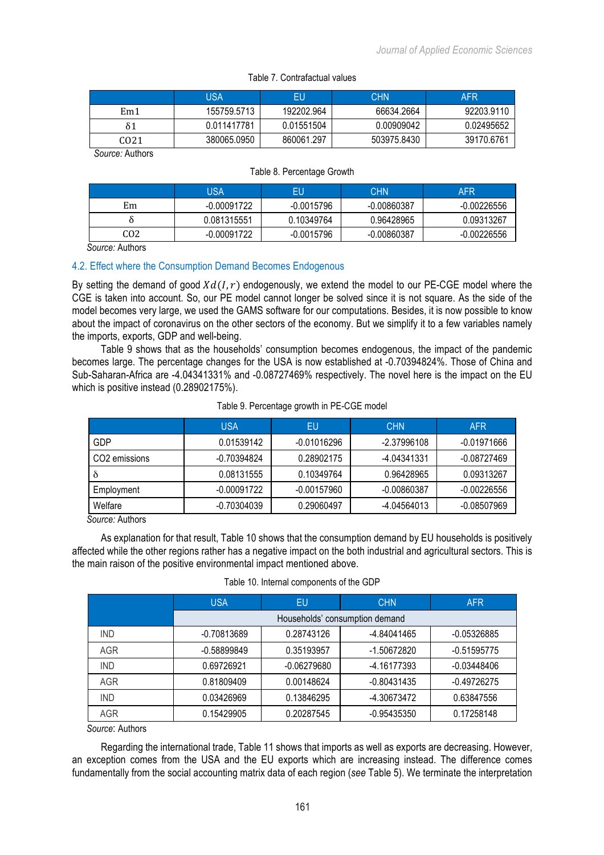|                 | USA         | EU         | <b>CHN</b>  | AFR        |
|-----------------|-------------|------------|-------------|------------|
| Em <sub>1</sub> | 155759.5713 | 192202.964 | 66634.2664  | 92203.9110 |
|                 | 0.011417781 | 0.01551504 | 0.00909042  | 0.02495652 |
| CO21            | 380065.0950 | 860061.297 | 503975.8430 | 39170.6761 |

*Source:* Authors

|                                                  | USA           | EU           | <b>CHN</b>    | AFR         |
|--------------------------------------------------|---------------|--------------|---------------|-------------|
| Em                                               | $-0.00091722$ | $-0.0015796$ | $-0.00860387$ | -0.00226556 |
|                                                  | 0.081315551   | 0.10349764   | 0.96428965    | 0.09313267  |
| CO <sub>2</sub>                                  | -0.00091722   | -0.0015796   | $-0.00860387$ | -0.00226556 |
| $\overline{\phantom{a}}$<br>$\ddot{\phantom{1}}$ |               |              |               |             |

*Source:* Authors

## 4.2. Effect where the Consumption Demand Becomes Endogenous

By setting the demand of good  $Xd(I, r)$  endogenously, we extend the model to our PE-CGE model where the CGE is taken into account. So, our PE model cannot longer be solved since it is not square. As the side of the model becomes very large, we used the GAMS software for our computations. Besides, it is now possible to know about the impact of coronavirus on the other sectors of the economy. But we simplify it to a few variables namely the imports, exports, GDP and well-being.

Table 9 shows that as the households' consumption becomes endogenous, the impact of the pandemic becomes large. The percentage changes for the USA is now established at -0.70394824%. Those of China and Sub-Saharan-Africa are -4.04341331% and -0.08727469% respectively. The novel here is the impact on the EU which is positive instead (0.28902175%).

|                           | <b>USA</b>    | EU            | <b>CHN</b>    | <b>AFR</b>  |
|---------------------------|---------------|---------------|---------------|-------------|
| GDP                       | 0.01539142    | $-0.01016296$ | -2.37996108   | -0.01971666 |
| CO <sub>2</sub> emissions | -0.70394824   | 0.28902175    | -4.04341331   | -0.08727469 |
| ð                         | 0.08131555    | 0.10349764    | 0.96428965    | 0.09313267  |
| Employment                | $-0.00091722$ | -0.00157960   | $-0.00860387$ | -0.00226556 |
| Welfare                   | -0.70304039   | 0.29060497    | -4.04564013   | -0.08507969 |

### Table 9. Percentage growth in PE-CGE model

*Source:* Authors

As explanation for that result, Table 10 shows that the consumption demand by EU households is positively affected while the other regions rather has a negative impact on the both industrial and agricultural sectors. This is the main raison of the positive environmental impact mentioned above.

|            | <b>USA</b>  | EU            | <b>CHN</b>                     | <b>AFR</b>    |  |
|------------|-------------|---------------|--------------------------------|---------------|--|
|            |             |               | Households' consumption demand |               |  |
| <b>IND</b> | -0.70813689 | 0.28743126    | -4.84041465                    | $-0.05326885$ |  |
| AGR        | -0.58899849 | 0.35193957    | -1.50672820                    | -0.51595775   |  |
| <b>IND</b> | 0.69726921  | $-0.06279680$ | -4.16177393                    | -0.03448406   |  |
| AGR        | 0.81809409  | 0.00148624    | $-0.80431435$                  | -0.49726275   |  |
| <b>IND</b> | 0.03426969  | 0.13846295    | -4.30673472                    | 0.63847556    |  |
| AGR        | 0.15429905  | 0.20287545    | -0.95435350                    | 0.17258148    |  |

Table 10. Internal components of the GDP

*Source*: Authors

Regarding the international trade, Table 11 shows that imports as well as exports are decreasing. However, an exception comes from the USA and the EU exports which are increasing instead. The difference comes fundamentally from the social accounting matrix data of each region (*see* Table 5). We terminate the interpretation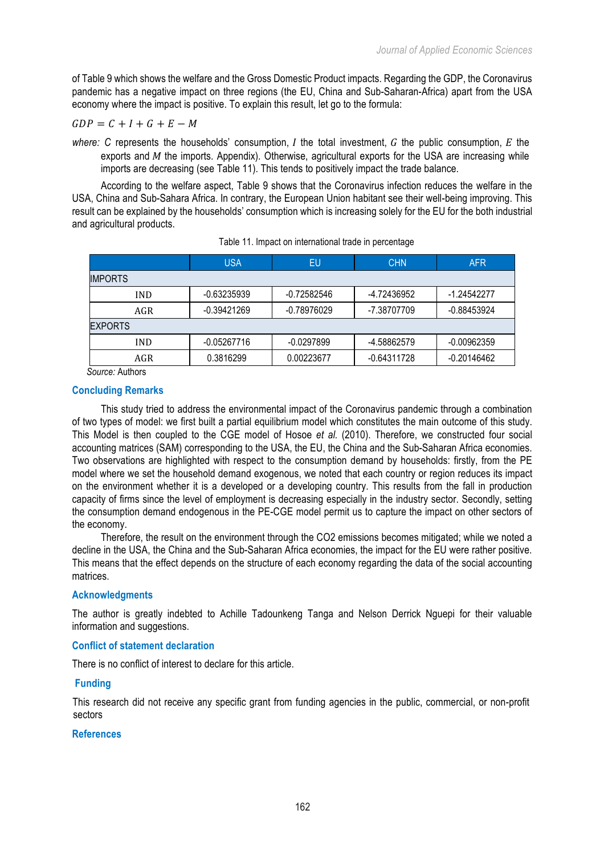of Table 9 which shows the welfare and the Gross Domestic Product impacts. Regarding the GDP, the Coronavirus pandemic has a negative impact on three regions (the EU, China and Sub-Saharan-Africa) apart from the USA economy where the impact is positive. To explain this result, let go to the formula:

$$
GDP = C + I + G + E - M
$$

*where:* C represents the households' consumption,  $I$  the total investment,  $G$  the public consumption,  $E$  the exports and  $M$  the imports. Appendix). Otherwise, agricultural exports for the USA are increasing while imports are decreasing (see Table 11). This tends to positively impact the trade balance.

According to the welfare aspect, Table 9 shows that the Coronavirus infection reduces the welfare in the USA, China and Sub-Sahara Africa. In contrary, the European Union habitant see their well-being improving. This result can be explained by the households' consumption which is increasing solely for the EU for the both industrial and agricultural products.

|                 | <b>USA</b>    | EU           | <b>CHN</b>    | <b>AFR</b>    |  |
|-----------------|---------------|--------------|---------------|---------------|--|
| <b>IMPORTS</b>  |               |              |               |               |  |
| <b>IND</b>      | -0.63235939   | -0.72582546  | -4.72436952   | -1.24542277   |  |
| AGR             | -0.39421269   |              | -7.38707709   | -0.88453924   |  |
| <b>EXPORTS</b>  |               |              |               |               |  |
| <b>IND</b>      | $-0.05267716$ | $-0.0297899$ | -4.58862579   | $-0.00962359$ |  |
| AGR             | 0.3816299     | 0.00223677   | $-0.64311728$ | -0.20146462   |  |
| Source: Authors |               |              |               |               |  |

|  |  | Table 11. Impact on international trade in percentage |  |  |
|--|--|-------------------------------------------------------|--|--|
|--|--|-------------------------------------------------------|--|--|

# **Concluding Remarks**

This study tried to address the environmental impact of the Coronavirus pandemic through a combination of two types of model: we first built a partial equilibrium model which constitutes the main outcome of this study. This Model is then coupled to the CGE model of Hosoe *et al.* (2010). Therefore, we constructed four social accounting matrices (SAM) corresponding to the USA, the EU, the China and the Sub-Saharan Africa economies. Two observations are highlighted with respect to the consumption demand by households: firstly, from the PE model where we set the household demand exogenous, we noted that each country or region reduces its impact on the environment whether it is a developed or a developing country. This results from the fall in production capacity of firms since the level of employment is decreasing especially in the industry sector. Secondly, setting the consumption demand endogenous in the PE-CGE model permit us to capture the impact on other sectors of the economy.

Therefore, the result on the environment through the CO2 emissions becomes mitigated; while we noted a decline in the USA, the China and the Sub-Saharan Africa economies, the impact for the EU were rather positive. This means that the effect depends on the structure of each economy regarding the data of the social accounting matrices.

## **Acknowledgments**

The author is greatly indebted to Achille Tadounkeng Tanga and Nelson Derrick Nguepi for their valuable information and suggestions.

# **Conflict of statement declaration**

There is no conflict of interest to declare for this article.

# **Funding**

This research did not receive any specific grant from funding agencies in the public, commercial, or non-profit sectors

## **References**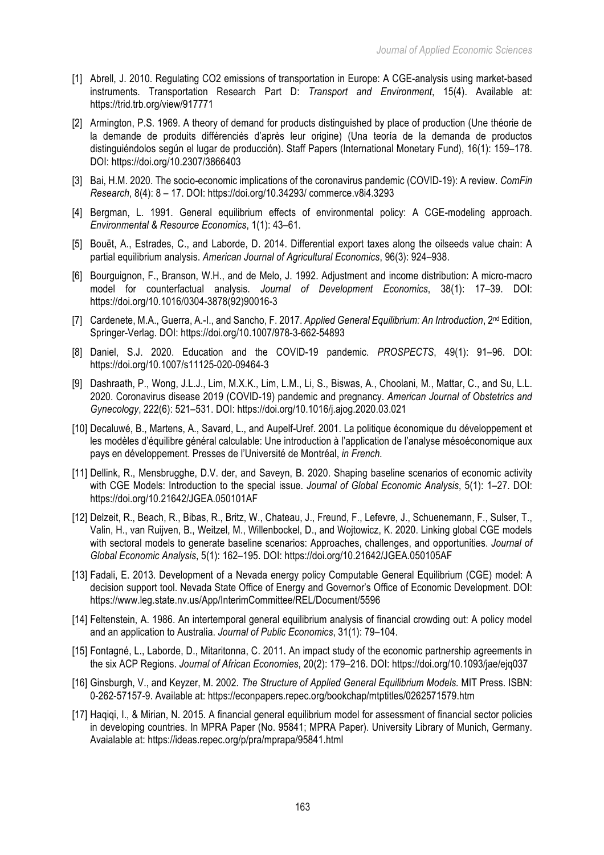- [1] Abrell, J. 2010. Regulating CO2 emissions of transportation in Europe: A CGE-analysis using market-based instruments. Transportation Research Part D: *Transport and Environment*, 15(4). Available at: https://trid.trb.org/view/917771
- [2] Armington, P.S. 1969. A theory of demand for products distinguished by place of production (Une théorie de la demande de produits différenciés d'après leur origine) (Una teoría de la demanda de productos distinguiéndolos según el lugar de producción). Staff Papers (International Monetary Fund), 16(1): 159–178. DOI: https://doi.org/10.2307/3866403
- [3] Bai, H.M. 2020. The socio-economic implications of the coronavirus pandemic (COVID-19): A review. *ComFin Research*, 8(4): 8 – 17. DOI: https://doi.org/10.34293/ commerce.v8i4.3293
- [4] Bergman, L. 1991. General equilibrium effects of environmental policy: A CGE-modeling approach. *Environmental & Resource Economics*, 1(1): 43–61.
- [5] Bouët, A., Estrades, C., and Laborde, D. 2014. Differential export taxes along the oilseeds value chain: A partial equilibrium analysis. *American Journal of Agricultural Economics*, 96(3): 924–938.
- [6] Bourguignon, F., Branson, W.H., and de Melo, J. 1992. Adjustment and income distribution: A micro-macro model for counterfactual analysis. *Journal of Development Economics*, 38(1): 17–39. DOI: https://doi.org/10.1016/0304-3878(92)90016-3
- [7] Cardenete, M.A., Guerra, A.-I., and Sancho, F. 2017. *Applied General Equilibrium: An Introduction*, 2nd Edition, Springer-Verlag. DOI: https://doi.org/10.1007/978-3-662-54893
- [8] Daniel, S.J. 2020. Education and the COVID-19 pandemic. *PROSPECTS*, 49(1): 91–96. DOI: https://doi.org/10.1007/s11125-020-09464-3
- [9] Dashraath, P., Wong, J.L.J., Lim, M.X.K., Lim, L.M., Li, S., Biswas, A., Choolani, M., Mattar, C., and Su, L.L. 2020. Coronavirus disease 2019 (COVID-19) pandemic and pregnancy. *American Journal of Obstetrics and Gynecology*, 222(6): 521–531. DOI: https://doi.org/10.1016/j.ajog.2020.03.021
- [10] Decaluwé, B., Martens, A., Savard, L., and Aupelf-Uref. 2001. La politique économique du développement et les modèles d'équilibre général calculable: Une introduction à l'application de l'analyse mésoéconomique aux pays en développement. Presses de l'Université de Montréal, *in French.*
- [11] Dellink, R., Mensbrugghe, D.V. der, and Saveyn, B. 2020. Shaping baseline scenarios of economic activity with CGE Models: Introduction to the special issue. *Journal of Global Economic Analysis*, 5(1): 1–27. DOI: https://doi.org/10.21642/JGEA.050101AF
- [12] Delzeit, R., Beach, R., Bibas, R., Britz, W., Chateau, J., Freund, F., Lefevre, J., Schuenemann, F., Sulser, T., Valin, H., van Ruijven, B., Weitzel, M., Willenbockel, D., and Wojtowicz, K. 2020. Linking global CGE models with sectoral models to generate baseline scenarios: Approaches, challenges, and opportunities. *Journal of Global Economic Analysis*, 5(1): 162–195. DOI: https://doi.org/10.21642/JGEA.050105AF
- [13] Fadali, E. 2013. Development of a Nevada energy policy Computable General Equilibrium (CGE) model: A decision support tool. Nevada State Office of Energy and Governor's Office of Economic Development. DOI: https://www.leg.state.nv.us/App/InterimCommittee/REL/Document/5596
- [14] Feltenstein, A. 1986. An intertemporal general equilibrium analysis of financial crowding out: A policy model and an application to Australia. *Journal of Public Economics*, 31(1): 79–104.
- [15] Fontagné, L., Laborde, D., Mitaritonna, C. 2011. An impact study of the economic partnership agreements in the six ACP Regions. *Journal of African Economies*, 20(2): 179–216. DOI: https://doi.org/10.1093/jae/ejq037
- [16] Ginsburgh, V., and Keyzer, M. 2002*. The Structure of Applied General Equilibrium Models.* MIT Press. ISBN: 0-262-57157-9. Available at: https://econpapers.repec.org/bookchap/mtptitles/0262571579.htm
- [17] Haqiqi, I., & Mirian, N. 2015. A financial general equilibrium model for assessment of financial sector policies in developing countries. In MPRA Paper (No. 95841; MPRA Paper). University Library of Munich, Germany. Avaialable at: https://ideas.repec.org/p/pra/mprapa/95841.html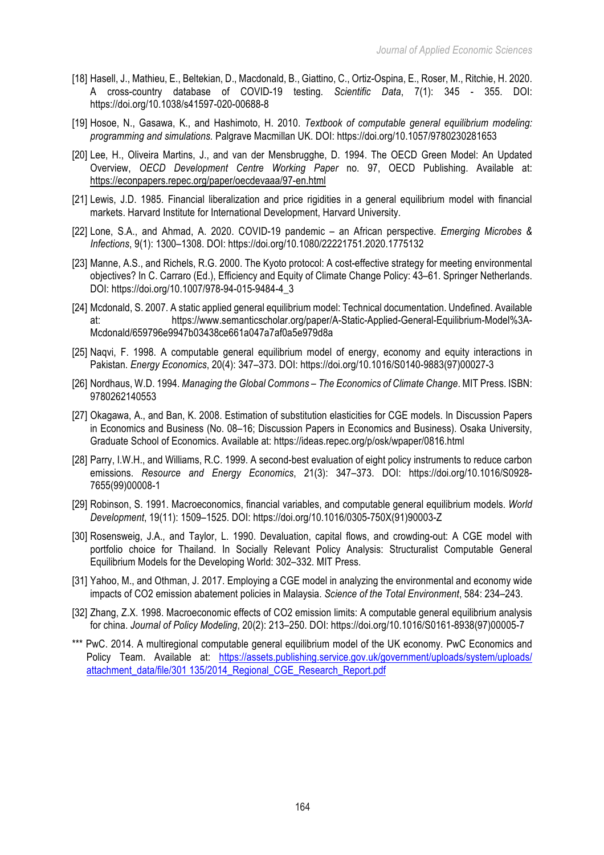- [18] Hasell, J., Mathieu, E., Beltekian, D., Macdonald, B., Giattino, C., Ortiz-Ospina, E., Roser, M., Ritchie, H. 2020. A cross-country database of COVID-19 testing. *Scientific Data*, 7(1): 345 - 355. DOI: https://doi.org/10.1038/s41597-020-00688-8
- [19] Hosoe, N., Gasawa, K., and Hashimoto, H. 2010. *Textbook of computable general equilibrium modeling: programming and simulations.* Palgrave Macmillan UK. DOI: https://doi.org/10.1057/9780230281653
- [20] Lee, H., Oliveira Martins, J., and van der Mensbrugghe, D. 1994. The OECD Green Model: An Updated Overview, *OECD Development Centre Working Paper* no. 97, OECD Publishing. Available at: https://econpapers.repec.org/paper/oecdevaaa/97-en.html
- [21] Lewis, J.D. 1985. Financial liberalization and price rigidities in a general equilibrium model with financial markets. Harvard Institute for International Development, Harvard University.
- [22] Lone, S.A., and Ahmad, A. 2020. COVID-19 pandemic an African perspective. *Emerging Microbes & Infections*, 9(1): 1300–1308. DOI: https://doi.org/10.1080/22221751.2020.1775132
- [23] Manne, A.S., and Richels, R.G. 2000. The Kyoto protocol: A cost-effective strategy for meeting environmental objectives? In C. Carraro (Ed.), Efficiency and Equity of Climate Change Policy: 43–61. Springer Netherlands. DOI: https://doi.org/10.1007/978-94-015-9484-4\_3
- [24] Mcdonald, S. 2007. A static applied general equilibrium model: Technical documentation. Undefined. Available at: https://www.semanticscholar.org/paper/A-Static-Applied-General-Equilibrium-Model%3A-Mcdonald/659796e9947b03438ce661a047a7af0a5e979d8a
- [25] Naqvi, F. 1998. A computable general equilibrium model of energy, economy and equity interactions in Pakistan. *Energy Economics*, 20(4): 347–373. DOI: https://doi.org/10.1016/S0140-9883(97)00027-3
- [26] Nordhaus, W.D. 1994. *Managing the Global Commons – The Economics of Climate Change*. MIT Press. ISBN: 9780262140553
- [27] Okagawa, A., and Ban, K. 2008. Estimation of substitution elasticities for CGE models. In Discussion Papers in Economics and Business (No. 08–16; Discussion Papers in Economics and Business). Osaka University, Graduate School of Economics. Available at: https://ideas.repec.org/p/osk/wpaper/0816.html
- [28] Parry, I.W.H., and Williams, R.C. 1999. A second-best evaluation of eight policy instruments to reduce carbon emissions. *Resource and Energy Economics*, 21(3): 347–373. DOI: https://doi.org/10.1016/S0928- 7655(99)00008-1
- [29] Robinson, S. 1991. Macroeconomics, financial variables, and computable general equilibrium models. *World Development*, 19(11): 1509–1525. DOI: https://doi.org/10.1016/0305-750X(91)90003-Z
- [30] Rosensweig, J.A., and Taylor, L. 1990. Devaluation, capital flows, and crowding-out: A CGE model with portfolio choice for Thailand. In Socially Relevant Policy Analysis: Structuralist Computable General Equilibrium Models for the Developing World: 302–332. MIT Press.
- [31] Yahoo, M., and Othman, J. 2017. Employing a CGE model in analyzing the environmental and economy wide impacts of CO2 emission abatement policies in Malaysia. *Science of the Total Environment*, 584: 234–243.
- [32] Zhang, Z.X. 1998. Macroeconomic effects of CO2 emission limits: A computable general equilibrium analysis for china. *Journal of Policy Modeling*, 20(2): 213–250. DOI: https://doi.org/10.1016/S0161-8938(97)00005-7
- \*\*\* PwC. 2014. A multiregional computable general equilibrium model of the UK economy. PwC Economics and Policy Team. Available at: https://assets.publishing.service.gov.uk/government/uploads/system/uploads/ attachment\_data/file/301 135/2014\_Regional\_CGE\_Research\_Report.pdf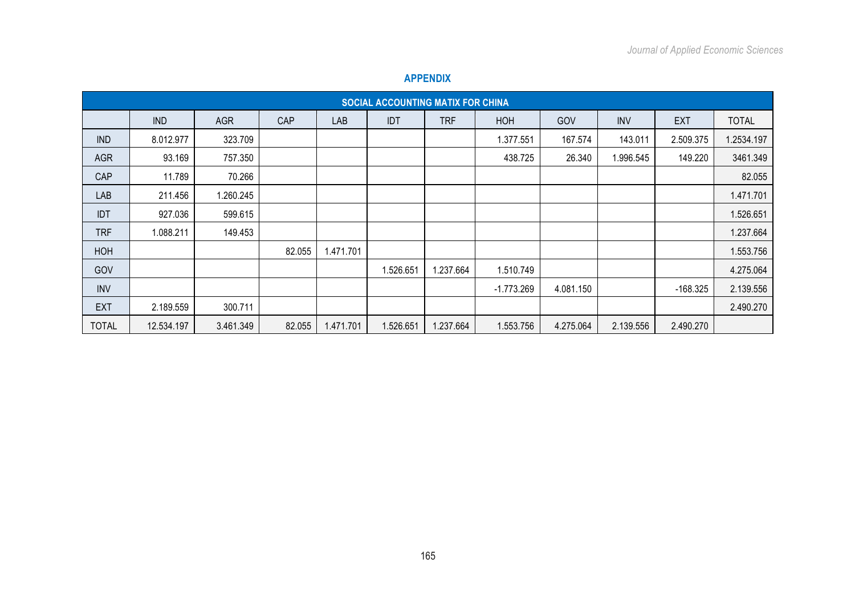|              |            |            |        |            | SOCIAL ACCOUNTING MATIX FOR CHINA |            |              |           |            |            |              |
|--------------|------------|------------|--------|------------|-----------------------------------|------------|--------------|-----------|------------|------------|--------------|
|              | <b>IND</b> | <b>AGR</b> | CAP    | <b>LAB</b> | <b>IDT</b>                        | <b>TRF</b> | <b>HOH</b>   | GOV       | <b>INV</b> | <b>EXT</b> | <b>TOTAL</b> |
| <b>IND</b>   | 8.012.977  | 323.709    |        |            |                                   |            | 1.377.551    | 167.574   | 143.011    | 2.509.375  | 1.2534.197   |
| <b>AGR</b>   | 93.169     | 757.350    |        |            |                                   |            | 438.725      | 26.340    | 1.996.545  | 149.220    | 3461.349     |
| CAP          | 11.789     | 70.266     |        |            |                                   |            |              |           |            |            | 82.055       |
| LAB          | 211.456    | 1.260.245  |        |            |                                   |            |              |           |            |            | 1.471.701    |
| <b>IDT</b>   | 927.036    | 599.615    |        |            |                                   |            |              |           |            |            | 1.526.651    |
| <b>TRF</b>   | 1.088.211  | 149.453    |        |            |                                   |            |              |           |            |            | 1.237.664    |
| HOH          |            |            | 82.055 | 1.471.701  |                                   |            |              |           |            |            | 1.553.756    |
| GOV          |            |            |        |            | 1.526.651                         | 1.237.664  | 1.510.749    |           |            |            | 4.275.064    |
| <b>INV</b>   |            |            |        |            |                                   |            | $-1.773.269$ | 4.081.150 |            | $-168.325$ | 2.139.556    |
| <b>EXT</b>   | 2.189.559  | 300.711    |        |            |                                   |            |              |           |            |            | 2.490.270    |
| <b>TOTAL</b> | 12.534.197 | 3.461.349  | 82.055 | 1.471.701  | 1.526.651                         | 1.237.664  | 1.553.756    | 4.275.064 | 2.139.556  | 2.490.270  |              |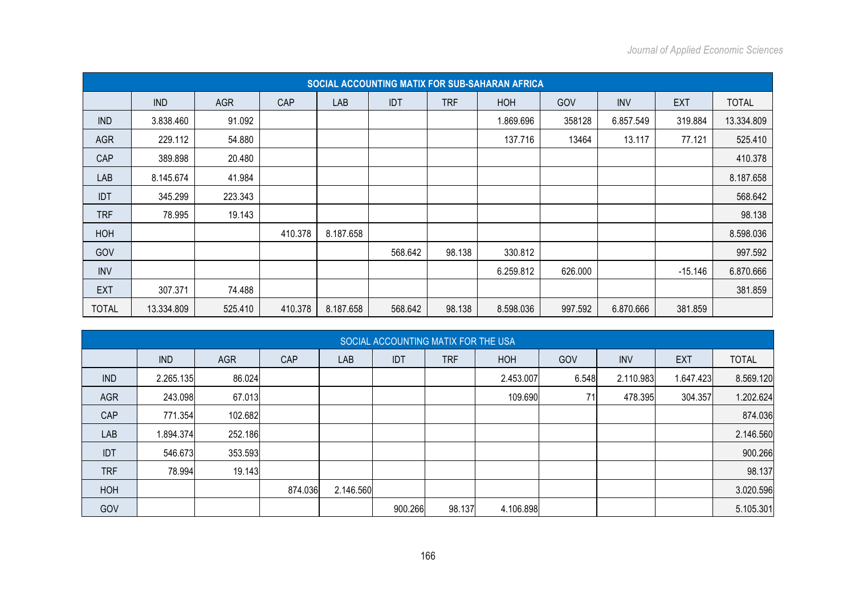|              |            |            |         |           |         |            | SOCIAL ACCOUNTING MATIX FOR SUB-SAHARAN AFRICA |         |            |            |              |
|--------------|------------|------------|---------|-----------|---------|------------|------------------------------------------------|---------|------------|------------|--------------|
|              | <b>IND</b> | <b>AGR</b> | CAP     | LAB       | IDT     | <b>TRF</b> | HOH                                            | GOV     | <b>INV</b> | <b>EXT</b> | <b>TOTAL</b> |
| <b>IND</b>   | 3.838.460  | 91.092     |         |           |         |            | 1.869.696                                      | 358128  | 6.857.549  | 319.884    | 13.334.809   |
| <b>AGR</b>   | 229.112    | 54.880     |         |           |         |            | 137.716                                        | 13464   | 13.117     | 77.121     | 525.410      |
| CAP          | 389.898    | 20.480     |         |           |         |            |                                                |         |            |            | 410.378      |
| LAB          | 8.145.674  | 41.984     |         |           |         |            |                                                |         |            |            | 8.187.658    |
| <b>IDT</b>   | 345.299    | 223.343    |         |           |         |            |                                                |         |            |            | 568.642      |
| <b>TRF</b>   | 78.995     | 19.143     |         |           |         |            |                                                |         |            |            | 98.138       |
| HOH          |            |            | 410.378 | 8.187.658 |         |            |                                                |         |            |            | 8.598.036    |
| GOV          |            |            |         |           | 568.642 | 98.138     | 330.812                                        |         |            |            | 997.592      |
| <b>INV</b>   |            |            |         |           |         |            | 6.259.812                                      | 626.000 |            | $-15.146$  | 6.870.666    |
| <b>EXT</b>   | 307.371    | 74.488     |         |           |         |            |                                                |         |            |            | 381.859      |
| <b>TOTAL</b> | 13.334.809 | 525.410    | 410.378 | 8.187.658 | 568.642 | 98.138     | 8.598.036                                      | 997.592 | 6.870.666  | 381.859    |              |

|            | SOCIAL ACCOUNTING MATIX FOR THE USA |            |         |           |            |            |            |       |            |            |              |  |  |  |
|------------|-------------------------------------|------------|---------|-----------|------------|------------|------------|-------|------------|------------|--------------|--|--|--|
|            | <b>IND</b>                          | <b>AGR</b> | CAP     | LAB       | <b>IDT</b> | <b>TRF</b> | <b>HOH</b> | GOV   | <b>INV</b> | <b>EXT</b> | <b>TOTAL</b> |  |  |  |
| <b>IND</b> | 2.265.135                           | 86.024     |         |           |            |            | 2.453.007  | 6.548 | 2.110.983  | 1.647.423  | 8.569.120    |  |  |  |
| <b>AGR</b> | 243.098                             | 67.013     |         |           |            |            | 109.690    | 71    | 478.395    | 304.357    | 1.202.624    |  |  |  |
| CAP        | 771.354                             | 102.682    |         |           |            |            |            |       |            |            | 874.036      |  |  |  |
| LAB        | 1.894.374                           | 252.186    |         |           |            |            |            |       |            |            | 2.146.560    |  |  |  |
| <b>IDT</b> | 546.673                             | 353.593    |         |           |            |            |            |       |            |            | 900.266      |  |  |  |
| <b>TRF</b> | 78.994                              | 19.143     |         |           |            |            |            |       |            |            | 98.137       |  |  |  |
| HOH        |                                     |            | 874.036 | 2.146.560 |            |            |            |       |            |            | 3.020.596    |  |  |  |
| GOV        |                                     |            |         |           | 900.266    | 98.137     | 4.106.898  |       |            |            | 5.105.301    |  |  |  |